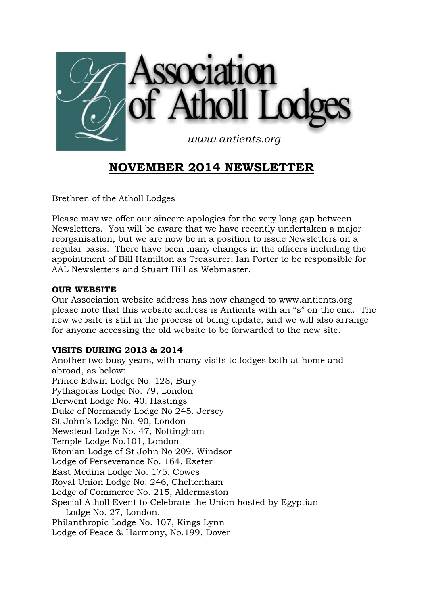

# **NOVEMBER 2014 NEWSLETTER**

Brethren of the Atholl Lodges

Please may we offer our sincere apologies for the very long gap between Newsletters. You will be aware that we have recently undertaken a major reorganisation, but we are now be in a position to issue Newsletters on a regular basis. There have been many changes in the officers including the appointment of Bill Hamilton as Treasurer, Ian Porter to be responsible for AAL Newsletters and Stuart Hill as Webmaster.

### **OUR WEBSITE**

Our Association website address has now changed to www.antients.org please note that this website address is Antients with an "s" on the end. The new website is still in the process of being update, and we will also arrange for anyone accessing the old website to be forwarded to the new site.

## **VISITS DURING 2013 & 2014**

Another two busy years, with many visits to lodges both at home and abroad, as below: Prince Edwin Lodge No. 128, Bury Pythagoras Lodge No. 79, London Derwent Lodge No. 40, Hastings Duke of Normandy Lodge No 245. Jersey St John's Lodge No. 90, London Newstead Lodge No. 47, Nottingham Temple Lodge No.101, London Etonian Lodge of St John No 209, Windsor Lodge of Perseverance No. 164, Exeter East Medina Lodge No. 175, Cowes Royal Union Lodge No. 246, Cheltenham Lodge of Commerce No. 215, Aldermaston Special Atholl Event to Celebrate the Union hosted by Egyptian Lodge No. 27, London. Philanthropic Lodge No. 107, Kings Lynn Lodge of Peace & Harmony, No.199, Dover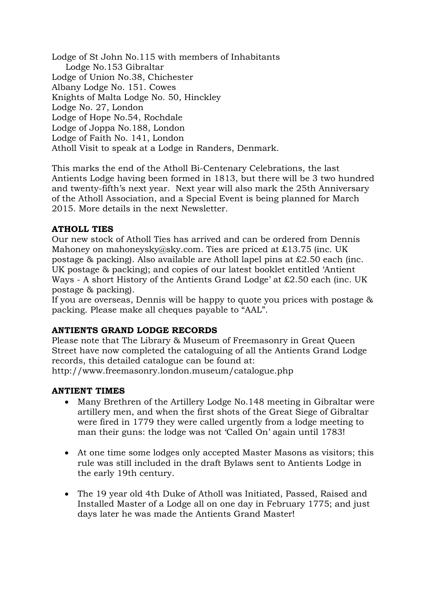Lodge of St John No.115 with members of Inhabitants Lodge No.153 Gibraltar Lodge of Union No.38, Chichester Albany Lodge No. 151. Cowes Knights of Malta Lodge No. 50, Hinckley Lodge No. 27, London Lodge of Hope No.54, Rochdale Lodge of Joppa No.188, London Lodge of Faith No. 141, London Atholl Visit to speak at a Lodge in Randers, Denmark.

This marks the end of the Atholl Bi-Centenary Celebrations, the last Antients Lodge having been formed in 1813, but there will be 3 two hundred and twenty-fifth's next year. Next year will also mark the 25th Anniversary of the Atholl Association, and a Special Event is being planned for March 2015. More details in the next Newsletter.

### **ATHOLL TIES**

Our new stock of Atholl Ties has arrived and can be ordered from Dennis Mahoney on mahoneysky@sky.com. Ties are priced at £13.75 (inc. UK postage & packing). Also available are Atholl lapel pins at £2.50 each (inc. UK postage & packing); and copies of our latest booklet entitled 'Antient Ways - A short History of the Antients Grand Lodge' at £2.50 each (inc. UK postage & packing).

If you are overseas, Dennis will be happy to quote you prices with postage & packing. Please make all cheques payable to "AAL".

## **ANTIENTS GRAND LODGE RECORDS**

Please note that The Library & Museum of Freemasonry in Great Queen Street have now completed the cataloguing of all the Antients Grand Lodge records, this detailed catalogue can be found at:

http://www.freemasonry.london.museum/catalogue.php

#### **ANTIENT TIMES**

- Many Brethren of the Artillery Lodge No.148 meeting in Gibraltar were artillery men, and when the first shots of the Great Siege of Gibraltar were fired in 1779 they were called urgently from a lodge meeting to man their guns: the lodge was not 'Called On' again until 1783!
- At one time some lodges only accepted Master Masons as visitors; this rule was still included in the draft Bylaws sent to Antients Lodge in the early 19th century.
- The 19 year old 4th Duke of Atholl was Initiated, Passed, Raised and Installed Master of a Lodge all on one day in February 1775; and just days later he was made the Antients Grand Master!